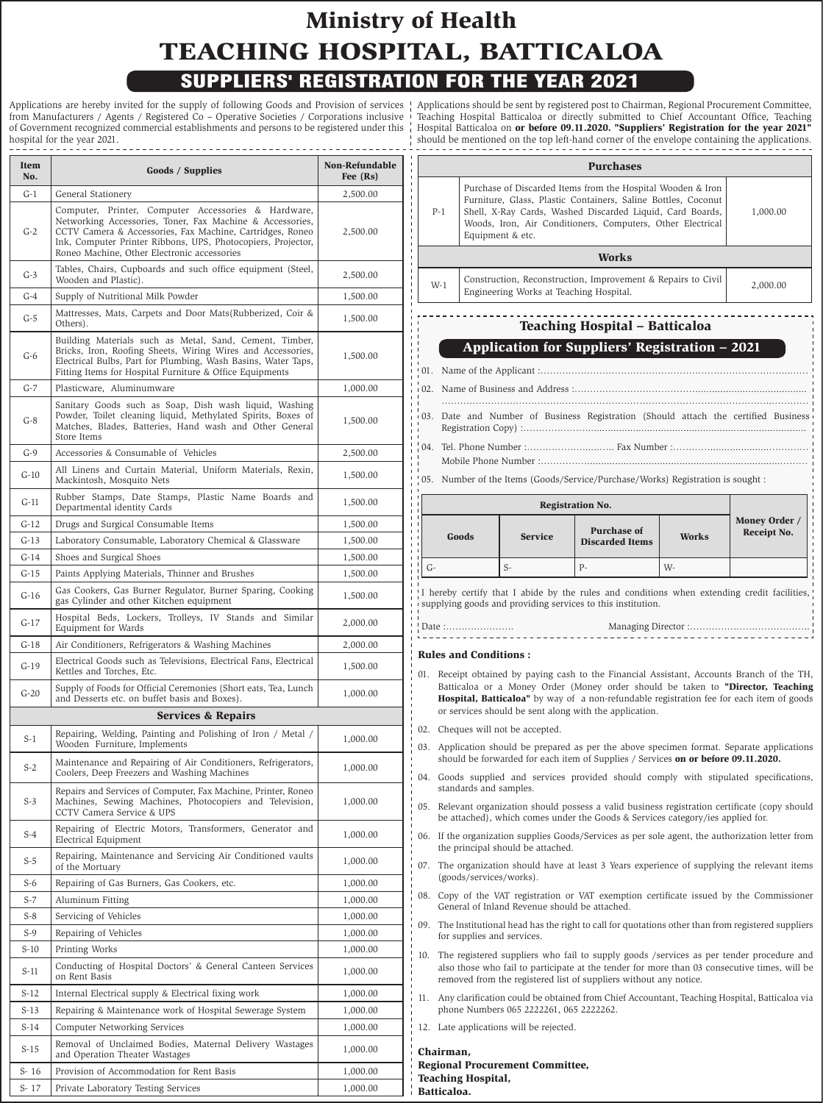# **Ministry of Health TEACHING HOSPITAL, BATTICALOA** SUPPLIERS' REGISTRATION FOR THE YEAR 2021

Applications are hereby invited for the supply of following Goods and Provision of services from Manufacturers / Agents / Registered Co – Operative Societies / Corporations inclusive of Government recognized commercial establishments and persons to be registered under this hospital for the year 2021. 

| Item<br>No. | <b>Goods / Supplies</b>                                                                                                                                                                                                                                                                      | Non-Refundable<br>Fee $(Rs)$ |  |
|-------------|----------------------------------------------------------------------------------------------------------------------------------------------------------------------------------------------------------------------------------------------------------------------------------------------|------------------------------|--|
| $G-1$       | General Stationery                                                                                                                                                                                                                                                                           | 2,500.00                     |  |
| $G-2$       | Computer, Printer, Computer Accessories & Hardware,<br>Networking Accessories, Toner, Fax Machine & Accessories,<br>CCTV Camera & Accessories, Fax Machine, Cartridges, Roneo<br>Ink, Computer Printer Ribbons, UPS, Photocopiers, Projector,<br>Roneo Machine, Other Electronic accessories | 2,500.00                     |  |
| $G-3$       | Tables, Chairs, Cupboards and such office equipment (Steel,<br>Wooden and Plastic).                                                                                                                                                                                                          | 2,500.00                     |  |
| $G-4$       | Supply of Nutritional Milk Powder                                                                                                                                                                                                                                                            | 1,500.00                     |  |
| $G-5$       | Mattresses, Mats, Carpets and Door Mats (Rubberized, Coir &<br>Others).                                                                                                                                                                                                                      | 1,500.00                     |  |
| $G-6$       | Building Materials such as Metal, Sand, Cement, Timber,<br>Bricks, Iron, Roofing Sheets, Wiring Wires and Accessories,<br>Electrical Bulbs, Part for Plumbing, Wash Basins, Water Taps,<br>Fitting Items for Hospital Furniture & Office Equipments                                          | 1,500.00                     |  |
| $G-7$       | Plasticware, Aluminumware                                                                                                                                                                                                                                                                    | 1,000.00                     |  |
| $G-8$       | Sanitary Goods such as Soap, Dish wash liquid, Washing<br>Powder, Toilet cleaning liquid, Methylated Spirits, Boxes of<br>Matches, Blades, Batteries, Hand wash and Other General<br>Store Items                                                                                             | 1,500.00                     |  |
| $G-9$       | Accessories & Consumable of Vehicles                                                                                                                                                                                                                                                         | 2,500.00                     |  |
| $G-10$      | All Linens and Curtain Material, Uniform Materials, Rexin,<br>Mackintosh, Mosquito Nets                                                                                                                                                                                                      | 1,500.00                     |  |
| $G-11$      | Rubber Stamps, Date Stamps, Plastic Name Boards and<br>Departmental identity Cards                                                                                                                                                                                                           | 1,500.00                     |  |
| $G-12$      | Drugs and Surgical Consumable Items                                                                                                                                                                                                                                                          | 1,500.00                     |  |
| $G-13$      | Laboratory Consumable, Laboratory Chemical & Glassware                                                                                                                                                                                                                                       | 1,500.00                     |  |
| $G-14$      | Shoes and Surgical Shoes                                                                                                                                                                                                                                                                     | 1,500.00                     |  |
| $G-15$      | Paints Applying Materials, Thinner and Brushes                                                                                                                                                                                                                                               | 1,500.00                     |  |
| G-16        | Gas Cookers, Gas Burner Regulator, Burner Sparing, Cooking<br>gas Cylinder and other Kitchen equipment                                                                                                                                                                                       | 1,500.00                     |  |
| G-17        | Hospital Beds, Lockers, Trolleys, IV Stands and Similar<br>Equipment for Wards                                                                                                                                                                                                               | 2,000.00                     |  |
| $G-18$      | Air Conditioners, Refrigerators & Washing Machines                                                                                                                                                                                                                                           | 2,000.00                     |  |
| $G-19$      | Electrical Goods such as Televisions, Electrical Fans, Electrical<br>Kettles and Torches. Etc.                                                                                                                                                                                               | 1,500.00                     |  |
| $G-20$      | Supply of Foods for Official Ceremonies (Short eats, Tea, Lunch<br>and Desserts etc. on buffet basis and Boxes).                                                                                                                                                                             | 1,000.00                     |  |
|             | <b>Services &amp; Repairs</b>                                                                                                                                                                                                                                                                |                              |  |
| $S-1$       | Repairing, Welding, Painting and Polishing of Iron / Metal /<br>Wooden Furniture, Implements                                                                                                                                                                                                 | 1,000.00                     |  |
| $S-2$       | Maintenance and Repairing of Air Conditioners, Refrigerators,<br>Coolers, Deep Freezers and Washing Machines                                                                                                                                                                                 | 1,000.00                     |  |
| $S-3$       | Repairs and Services of Computer, Fax Machine, Printer, Roneo<br>Machines, Sewing Machines, Photocopiers and Television,<br>CCTV Camera Service & UPS                                                                                                                                        | 1,000.00                     |  |
| $S-4$       | Repairing of Electric Motors, Transformers, Generator and<br>Electrical Equipment                                                                                                                                                                                                            | 1,000.00                     |  |
| $S-5$       | Repairing, Maintenance and Servicing Air Conditioned vaults<br>of the Mortuary                                                                                                                                                                                                               | 1,000.00                     |  |
| $S-6$       | Repairing of Gas Burners, Gas Cookers, etc.                                                                                                                                                                                                                                                  | 1,000.00                     |  |
| $S-7$       | Aluminum Fitting                                                                                                                                                                                                                                                                             | 1,000.00                     |  |
| $S-8$       | Servicing of Vehicles                                                                                                                                                                                                                                                                        | 1,000.00                     |  |
| $S-9$       | Repairing of Vehicles                                                                                                                                                                                                                                                                        | 1,000.00                     |  |
| $S-10$      | Printing Works                                                                                                                                                                                                                                                                               | 1,000.00                     |  |
| $S-11$      | Conducting of Hospital Doctors' & General Canteen Services<br>on Rent Basis                                                                                                                                                                                                                  | 1,000.00                     |  |
| $S-12$      | Internal Electrical supply & Electrical fixing work                                                                                                                                                                                                                                          | 1,000.00                     |  |
| $S-13$      | Repairing & Maintenance work of Hospital Sewerage System                                                                                                                                                                                                                                     | 1,000.00                     |  |
| $S-14$      | Computer Networking Services                                                                                                                                                                                                                                                                 | 1,000.00                     |  |
| S-15        | Removal of Unclaimed Bodies, Maternal Delivery Wastages<br>and Operation Theater Wastages                                                                                                                                                                                                    | 1,000.00                     |  |
| $S-16$      | Provision of Accommodation for Rent Basis                                                                                                                                                                                                                                                    | 1,000.00                     |  |
| $S-17$      | Private Laboratory Testing Services                                                                                                                                                                                                                                                          | 1,000.00                     |  |

Applications should be sent by registered post to Chairman, Regional Procurement Committee, Teaching Hospital Batticaloa or directly submitted to Chief Accountant Office, Teaching Hospital Batticaloa on **or before 09.11.2020. "Suppliers' Registration for the year 2021"** should be mentioned on the top left-hand corner of the envelope containing the applications.

|         |                              |                                                 | <b>Purchases</b>                                                                                                                                                                                                                                                                                                                    |       |                      |
|---------|------------------------------|-------------------------------------------------|-------------------------------------------------------------------------------------------------------------------------------------------------------------------------------------------------------------------------------------------------------------------------------------------------------------------------------------|-------|----------------------|
| $P-1$   |                              | Equipment & etc.                                | Purchase of Discarded Items from the Hospital Wooden & Iron<br>Furniture, Glass, Plastic Containers, Saline Bottles, Coconut<br>Shell, X-Ray Cards, Washed Discarded Liquid, Card Boards,<br>Woods, Iron, Air Conditioners, Computers, Other Electrical                                                                             |       | 1,000.00             |
|         |                              |                                                 | <b>Works</b>                                                                                                                                                                                                                                                                                                                        |       |                      |
| W-1     |                              | Engineering Works at Teaching Hospital.         | Construction, Reconstruction, Improvement & Repairs to Civil                                                                                                                                                                                                                                                                        |       | 2,000.00             |
|         |                              |                                                 | <b>Teaching Hospital - Batticaloa</b>                                                                                                                                                                                                                                                                                               |       |                      |
|         |                              |                                                 | <b>Application for Suppliers' Registration - 2021</b>                                                                                                                                                                                                                                                                               |       |                      |
| 01.     |                              |                                                 |                                                                                                                                                                                                                                                                                                                                     |       |                      |
| 02.     |                              |                                                 |                                                                                                                                                                                                                                                                                                                                     |       |                      |
| i 03. i |                              |                                                 | Date and Number of Business Registration (Should attach the certified Business                                                                                                                                                                                                                                                      |       |                      |
| 04.     |                              |                                                 |                                                                                                                                                                                                                                                                                                                                     |       |                      |
| 05.     |                              |                                                 | Number of the Items (Goods/Service/Purchase/Works) Registration is sought :                                                                                                                                                                                                                                                         |       |                      |
|         |                              |                                                 |                                                                                                                                                                                                                                                                                                                                     |       |                      |
|         |                              |                                                 | <b>Registration No.</b>                                                                                                                                                                                                                                                                                                             |       | <b>Money Order /</b> |
|         | <b>Goods</b>                 | <b>Service</b>                                  | <b>Purchase of</b><br><b>Discarded Items</b>                                                                                                                                                                                                                                                                                        | Works | Receipt No.          |
| G-      |                              | $S-$                                            | $P-$                                                                                                                                                                                                                                                                                                                                | W-    |                      |
|         |                              |                                                 | I hereby certify that I abide by the rules and conditions when extending credit facilities,<br>supplying goods and providing services to this institution.                                                                                                                                                                          |       |                      |
|         | ! Date :                     |                                                 |                                                                                                                                                                                                                                                                                                                                     |       |                      |
|         | <b>Rules and Conditions:</b> |                                                 | 01. Receipt obtained by paying cash to the Financial Assistant, Accounts Branch of the TH,<br>Batticaloa or a Money Order (Money order should be taken to "Director, Teaching<br>Hospital, Batticaloa" by way of a non-refundable registration fee for each item of goods<br>or services should be sent along with the application. |       |                      |
|         |                              | $\frac{1}{2}$ 02. Cheques will not be accepted. |                                                                                                                                                                                                                                                                                                                                     |       |                      |
|         |                              |                                                 | 03. Application should be prepared as per the above specimen format. Separate applications<br>should be forwarded for each item of Supplies / Services on or before 09.11.2020.                                                                                                                                                     |       |                      |
|         | standards and samples.       |                                                 | 04. Goods supplied and services provided should comply with stipulated specifications,                                                                                                                                                                                                                                              |       |                      |
|         |                              |                                                 | 05. Relevant organization should possess a valid business registration certificate (copy should<br>be attached), which comes under the Goods & Services category/ies applied for.                                                                                                                                                   |       |                      |
|         |                              | the principal should be attached.               | 06. If the organization supplies Goods/Services as per sole agent, the authorization letter from                                                                                                                                                                                                                                    |       |                      |
|         | (goods/services/works).      |                                                 | 07. The organization should have at least 3 Years experience of supplying the relevant items                                                                                                                                                                                                                                        |       |                      |
|         |                              | General of Inland Revenue should be attached.   | 08. Copy of the VAT registration or VAT exemption certificate issued by the Commissioner                                                                                                                                                                                                                                            |       |                      |
|         |                              | for supplies and services.                      | 09. The Institutional head has the right to call for quotations other than from registered suppliers                                                                                                                                                                                                                                |       |                      |
|         |                              |                                                 | 10. The registered suppliers who fail to supply goods /services as per tender procedure and<br>also those who fail to participate at the tender for more than 03 consecutive times, will be<br>removed from the registered list of suppliers without any notice.                                                                    |       |                      |
| 11.     |                              | phone Numbers 065 2222261, 065 2222262.         | Any clarification could be obtained from Chief Accountant, Teaching Hospital, Batticaloa via                                                                                                                                                                                                                                        |       |                      |

**Teaching Hospital, Batticaloa.**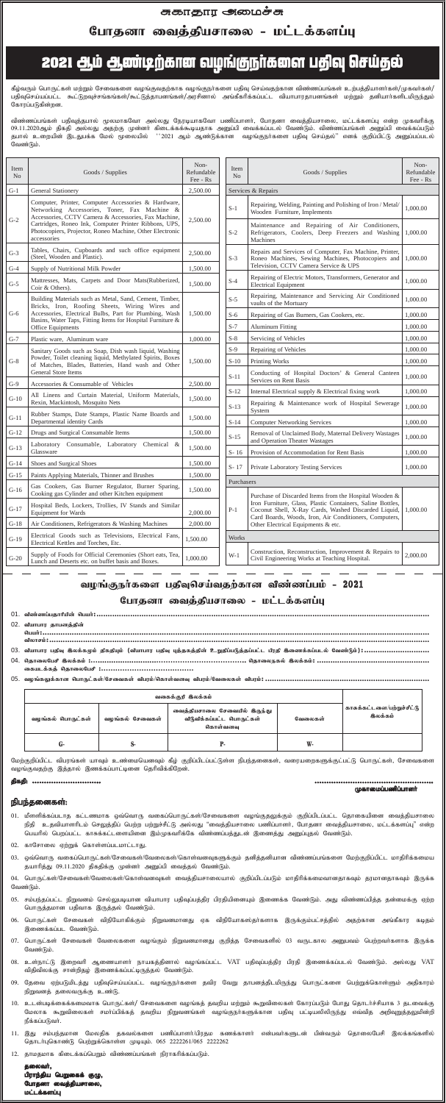## சுகாதார <del>அ</del>மைச்சு

போதனா வைத்தியசாலை - மட்டக்களப்பு

## 2021 ஆம் ஆண்டிற்கான வழங்குநா்களை பதிவு செய்தல்

கீழ்வரும் பொருட்கள் மற்றும் சேவைகளை வழங்குவதற்காக வழங்குநா்களை பதிவு செய்வதற்கான விண்ணப்பங்கள் உற்பத்தியாளா்கள்/முகவா்கள்/ பதிவுசெய்யப்பட்ட கூட்டுறவுச்சங்கங்கள்/கூட்டுத்தாபனங்கள்/அரசினால் அங்கீகரிக்கப்பட்ட வியாபாரதாபனங்கள் மற்றும் தனியாா்களிடமிருந்தும் கோரப்படுகின்றன.

விண்ணப்பங்கள் பதிவுத்தபால் மூலமாகவோ அல்லது நேரடியாகவோ பணிப்பாளர், போதனா வைத்தியசாலை, மட்டக்களப்பு என்ற முகவரிக்கு 09.11.2020ஆம் திகதி அல்லது அதற்கு முன்னா் கிடைக்கக்கூடியதாக அனுப்பி வைக்கப்படல் வேண்டும். விண்ணப்பங்கள் அனுப்பி வைக்கப்படும் தபால் உறையின் இடதுபக்க மேல் மூலையில் ''2021 ஆம் ஆண்டுக்கான வழங்குநா்களை பதிவு செய்தல்'' எனக் குறிப்பிட்டு அனுப்பப்படல் வேண்டும்.

jpfjp: **……………………….. …………………….. ………………………………………….. ………………………………………..** முகாமைப்பணிப்பாளர்

#### நிபந்தனைகள்:

- 01. மீளளிக்கப்படாத கட்டணமாக ஒவ்வொரு வகைப்பொருட்கள்/சேவைகளை வழங்குதலுக்கும் குறிப்பிடப்பட்ட தொகையினை வைத்தியசாலை நிதி உதவியாளாிடம் செலுத்திப் பெற்ற பற்றுச்சீட்டு அல்லது "வைத்தியசாலை பணிப்பாளா், போதனா வைத்தியசாலை, மட்டக்களப்பு" என்ற பெயரில் பெறப்பட்ட காசுக்கட்டளையினை இம்முகவரிக்கே விண்ணப்பத்துடன் இணைத்து அனுப்புதல் வேண்டும்.
- 02. காசோலை ஏற்றுக் கொள்ளப்படமாட்டாது.
- 03. ஒவ்வொரு வகைப்பொருட்கள்/சேவைகள்/வேலைகள்/கொள்வனவுகளுக்கும் தனித்தனியான விண்ணப்பங்களை மேற்குறிப்பிட்ட மாதிரிக்கமைய தயாரித்து 09.11.2020 திகதிக்கு முன்னர் அனுப்பி வைத்தல் வேண்டும்.

04. பொருட்கள்/சேவைகள்/வேலைகள்/கொள்வனவுகள் வைத்தியசாலையால் குறிப்பிடப்படும் மாதிரிக்கமைவானதாகவும் தரமானதாகவும் இருக்க வேண்டும்.

- 05. சம்பந்தப்பட்ட நிறுவனம் செல்லுபடியான வியாபார பதிவுப்பத்திர பிரதியினையும் இணைக்க வேண்டும். அது விண்ணப்பித்த தன்மைக்கு ஏற்ற பொருத்தமான பதிவாக இருத்தல் வேண்டும்.
- 06. பொருட்கள் சேவைகள் விநியோகிக்கும் நிறுவனமானது ஏக விநியோகஸ்தா்களாக இருக்கும்பட்சத்தில் அதற்கான அங்கீகார கடிதம் இணைக்கப்பட வேண்டும்.
- 07. பொருட்கள் சேவைகள் வேலைகளை வழங்கும் நிறுவனமானது குறித்த சேவைகளில் 03 வருடகால அனுபவம் பெற்றவா்களாக இருக்க வேண்டும்.
- 08. உள்நாட்டு இறைவரி ஆணையாளர் நாயகத்தினால் வழங்கப்பட்ட VAT பதிவுப்பத்திர பிரதி இணைக்கப்படல் வேண்டும். அல்லது VAT விதிவிலக்கு சான்றிதழ் இணைக்கப்பட்டிருத்தல் வேண்டும்.
- 09. தேவை ஏற்படுமிடத்து பதிவுசெய்யப்பட்ட வழங்குநா்களை தவிர வேறு தாபனத்திடமிருந்து பொருட்களை பெற்றுக்கொள்ளும் அதிகாரம் நிறுவனத் தலைவருக்கு உண்டு.
- 10. உடன்படிக்கைக்கமைவாக பொருட்கள்/ சேவைகளை வழங்கத் தவறிய மற்றும் கூறுவிலைகள் கோரப்படும் போது தொடர்ச்சியாக 3 தடவைக்கு மேலாக கூறுவிலைகள் சமா்ப்பிக்கத் தவறிய நிறுவனங்கள் வழங்குநா்களுக்கான பதிவு பட்டியலிலிருந்து எவ்வித அறிவுறுத்தலுமின்றி நீக்கப்படுவர்.
- 11. இது சம்பந்தமான மேலதிக தகவல்களை பணிப்பாளா்/பிரதம கணக்காளா் என்பவா்களுடன் பின்வரும் தொலைபேசி இலக்கங்களில் நொடர்புகொண்டு பெற்றுக்கொள்ள முடியும். 065 2222261/065 2222262
- 12. தாமதமாக கிடைக்கப்பெறும் விண்ணப்பங்கள் நிராகரிக்கப்படும்.

தலைவர், பிராந்திய பெறுகைக் குழு, போதனா வைத்தியசாலை, மட்டக்களப்பு

| 02. வீயாபார தாபனத்தின்                                                                                                        |
|-------------------------------------------------------------------------------------------------------------------------------|
|                                                                                                                               |
|                                                                                                                               |
| 03. வியாபார பதிவு இலக்கமும் திகதியும் (வியாபார பதிவு புத்தகத்தின் உறுதிப்படுத்தப்பட்ட பிரதி இணைக்கப்படல் வேண்டும்);………………………… |
|                                                                                                                               |
|                                                                                                                               |
|                                                                                                                               |

| $-$ | $\sim$ |                              |                                                                                  |
|-----|--------|------------------------------|----------------------------------------------------------------------------------|
|     |        | வகைக்குறி இலக்கம்            |                                                                                  |
|     |        | வைத்தியசாலை சேவையில் இருந்து | ∣ காசுக்கட்டளை ⁄பற்றுச்சீட்டு <sup>∣</sup><br>$\sim$ $\sim$ $\sim$ $\sim$ $\sim$ |

| வழங்கல் பொருட்கள் | வழங்கல் சேவைகள் | ைவகுகுயசாலை சேவையல் கையுந்து<br>வீடுவீக்கப்பட்ட பொருட்கள்<br>கொள்வனவ | வேலைகள் | இலக்கம் |
|-------------------|-----------------|----------------------------------------------------------------------|---------|---------|
| U.                |                 |                                                                      |         |         |

மேற்குறிப்பிட்ட விபரங்கள் யாவும் உண்மையெனவும் கீழ் குறிப்பிடப்பட்டுள்ள நிபந்தனைகள், வரையறைகளுக்குட்பட்டு பொருட்கள், சேவைகளை வழங்குவதற்கு இத்தால் இணக்கப்பாட்டினை தெரிவிக்கிறேன்.

| Item<br>N <sub>o</sub> | Goods / Supplies                                                                                                                                                          | Non-<br>Refundable<br>Fee - Rs | Item<br>Goods / Supplies<br>No                                                                                                                                                        |                                                                                                                 | Non-<br>Refundable<br>Fee - Rs |  |
|------------------------|---------------------------------------------------------------------------------------------------------------------------------------------------------------------------|--------------------------------|---------------------------------------------------------------------------------------------------------------------------------------------------------------------------------------|-----------------------------------------------------------------------------------------------------------------|--------------------------------|--|
| $G-1$                  | <b>General Stationery</b>                                                                                                                                                 | 2,500.00                       |                                                                                                                                                                                       | Services & Repairs                                                                                              |                                |  |
|                        | Computer, Printer, Computer Accessories & Hardware,<br>Networking Accessories, Toner, Fax Machine &<br>Accessories, CCTV Camera & Accessories, Fax Machine,               |                                | $S-1$                                                                                                                                                                                 | Repairing, Welding, Painting and Polishing of Iron / Metal/<br>Wooden Furniture, Implements                     | 1.000.00                       |  |
| $G-2$                  | Cartridges, Roneo Ink, Computer Printer Ribbons, UPS,<br>Photocopiers, Projector, Roneo Machine, Other Electronic<br>accessories                                          | 2,500.00                       | $S-2$                                                                                                                                                                                 | Maintenance and Repairing of Air Conditioners,<br>Refrigerators, Coolers, Deep Freezers and Washing<br>Machines | 1,000.00                       |  |
| $G-3$                  | Tables, Chairs, Cupboards and such office equipment<br>(Steel, Wooden and Plastic).                                                                                       | 2,500.00                       | $S-3$                                                                                                                                                                                 | Repairs and Services of Computer, Fax Machine, Printer,<br>Roneo Machines, Sewing Machines, Photocopiers and    | 1,000.00                       |  |
| $G-4$                  | Supply of Nutritional Milk Powder                                                                                                                                         | 1,500.00                       |                                                                                                                                                                                       | Television, CCTV Camera Service & UPS                                                                           |                                |  |
| $G-5$                  | Mattresses, Mats, Carpets and Door Mats(Rubberized,<br>Coir & Others).                                                                                                    | 1,500.00                       | $S-4$                                                                                                                                                                                 | Repairing of Electric Motors, Transformers, Generator and<br><b>Electrical Equipment</b>                        | 1,000.00                       |  |
|                        | Building Materials such as Metal, Sand, Cement, Timber,<br>Bricks, Iron, Roofing Sheets, Wiring Wires and                                                                 |                                | $S-5$                                                                                                                                                                                 | Repairing, Maintenance and Servicing Air Conditioned<br>vaults of the Mortuary                                  | 1,000.00                       |  |
| $G-6$                  | Accessories, Electrical Bulbs, Part for Plumbing, Wash                                                                                                                    | 1,500.00                       | $S-6$                                                                                                                                                                                 | Repairing of Gas Burners, Gas Cookers, etc.                                                                     | 1,000.00                       |  |
|                        | Basins, Water Taps, Fitting Items for Hospital Furniture &<br>Office Equipments                                                                                           |                                | $S-7$                                                                                                                                                                                 | <b>Aluminum Fitting</b>                                                                                         | 1,000.00                       |  |
| $G-7$                  | Plastic ware, Aluminum ware                                                                                                                                               | 1,000.00                       | $S-8$                                                                                                                                                                                 | Servicing of Vehicles                                                                                           | 1.000.00                       |  |
|                        | Sanitary Goods such as Soap, Dish wash liquid, Washing<br>Powder, Toilet cleaning liquid, Methylated Spirits, Boxes<br>of Matches, Blades, Batteries, Hand wash and Other |                                | $S-9$                                                                                                                                                                                 | Repairing of Vehicles                                                                                           | 1,000.00                       |  |
| $G-8$                  |                                                                                                                                                                           | 1,500.00                       | $S-10$                                                                                                                                                                                | Printing Works                                                                                                  | 1,000.00                       |  |
|                        | General Store Items                                                                                                                                                       |                                | $S-11$                                                                                                                                                                                | Conducting of Hospital Doctors' & General Canteen<br>Services on Rent Basis                                     | 1,000.00                       |  |
| $G-9$                  | Accessories & Consumable of Vehicles                                                                                                                                      | 2,500.00                       | $S-12$                                                                                                                                                                                | Internal Electrical supply & Electrical fixing work                                                             | 1,000.00                       |  |
| $G-10$                 | All Linens and Curtain Material, Uniform Materials,<br>Rexin, Mackintosh, Mosquito Nets                                                                                   | 1,500.00                       | $S-13$                                                                                                                                                                                | Repairing & Maintenance work of Hospital Sewerage<br>System                                                     | 1,000.00                       |  |
| $G-11$                 | Rubber Stamps, Date Stamps, Plastic Name Boards and<br>Departmental identity Cards                                                                                        | 1,500.00                       | $S-14$                                                                                                                                                                                | <b>Computer Networking Services</b>                                                                             | 1,000.00                       |  |
| $G-12$                 | Drugs and Surgical Consumable Items                                                                                                                                       | 1,500.00                       | $S-15$                                                                                                                                                                                | Removal of Unclaimed Body, Maternal Delivery Wastages<br>and Operation Theater Wastages                         | 1,000.00                       |  |
| $G-13$                 | Laboratory Consumable, Laboratory Chemical &<br>Glassware                                                                                                                 | 1,500.00                       | S-16                                                                                                                                                                                  | Provision of Accommodation for Rent Basis                                                                       | 1.000.00                       |  |
| $G-14$                 | Shoes and Surgical Shoes                                                                                                                                                  | 1,500.00                       | $S - 17$                                                                                                                                                                              | Private Laboratory Testing Services                                                                             | 1,000.00                       |  |
| $G-15$                 | Paints Applying Materials, Thinner and Brushes                                                                                                                            | 1,500.00                       |                                                                                                                                                                                       |                                                                                                                 |                                |  |
| $G-16$                 | Gas Cookers, Gas Burner Regulator, Burner Sparing,<br>Cooking gas Cylinder and other Kitchen equipment                                                                    | 1,500.00                       | Purchasers                                                                                                                                                                            | Purchase of Discarded Items from the Hospital Wooden &                                                          |                                |  |
| $G-17$                 | Hospital Beds, Lockers, Trollies, IV Stands and Similar<br><b>Equipment for Wards</b>                                                                                     | 2,000.00                       | Iron Furniture, Glass, Plastic Containers, Saline Bottles,<br>$P-1$<br>Coconut Shell, X-Ray Cards, Washed Discarded Liquid,<br>Card Boards, Woods, Iron, Air Conditioners, Computers, |                                                                                                                 | 1,000.00                       |  |
| $G-18$                 | Air Conditioners, Refrigerators & Washing Machines                                                                                                                        | 2,000.00                       |                                                                                                                                                                                       | Other Electrical Equipments & etc.                                                                              |                                |  |
| $G-19$                 | Electrical Goods such as Televisions, Electrical Fans,<br>Electrical Kettles and Torches, Etc.                                                                            | 1,500.00                       | Works                                                                                                                                                                                 |                                                                                                                 |                                |  |
| $G-20$                 | Supply of Foods for Official Ceremonies (Short eats, Tea,<br>Lunch and Deserts etc. on buffet basis and Boxes.                                                            | 1.000.00                       | $W-1$                                                                                                                                                                                 | Construction, Reconstruction, Improvement & Repairs to<br>Civil Engineering Works at Teaching Hospital.         | 2,000.00                       |  |

## வழங்குநா்களை பதிவுசெய்வதற்கான விண்ணப்பம் - 2021 போதனா வைத்தியசாலை - மட்டக்களப்பு